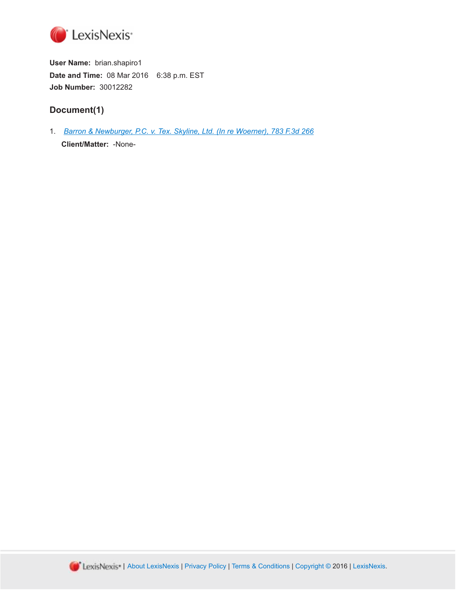

**User Name:** brian.shapiro1 **Date and Time:** 08 Mar 2016 6:38 p.m. EST **Job Number:** 30012282

# **Document(1)**

1. *[Barron & Newburger, P.C. v. Tex. Skyline, Ltd. \(In re Woerner\), 783 F.3d 266](http://advance.lexis.com/api/document?id=urn:contentItem:5FPV-MBY1-F04K-N0BJ-00000-00&idtype=PID&context=1000516)* **Client/Matter:** -None-

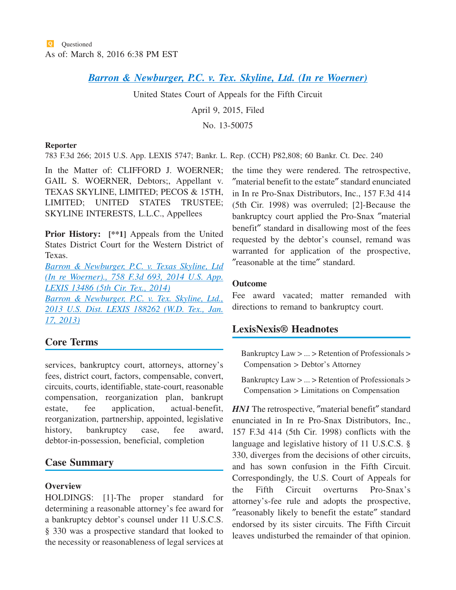# *[Barron & Newburger, P.C. v. Tex. Skyline, Ltd. \(In re Woerner\)](http://advance.lexis.com/api/document?collection=cases&id=urn:contentItem:5FPV-MBY1-F04K-N0BJ-00000-00&context=1000516)*

United States Court of Appeals for the Fifth Circuit

April 9, 2015, Filed

No. 13-50075

#### **Reporter**

783 F.3d 266; 2015 U.S. App. LEXIS 5747; Bankr. L. Rep. (CCH) P82,808; 60 Bankr. Ct. Dec. 240

In the Matter of: CLIFFORD J. WOERNER; GAIL S. WOERNER, Debtors;, Appellant v. TEXAS SKYLINE, LIMITED; PECOS & 15TH, LIMITED; UNITED STATES TRUSTEE; SKYLINE INTERESTS, L.L.C., Appellees

**Prior History: [\*\*1]** Appeals from the United States District Court for the Western District of Texas.

*[Barron & Newburger, P.C. v. Texas Skyline, Ltd](http://advance.lexis.com/api/document?collection=cases&id=urn:contentItem:5CNT-9311-F04K-N18F-00000-00&context=1000516) [\(In re Woerner\)., 758 F.3d 693, 2014 U.S. App.](http://advance.lexis.com/api/document?collection=cases&id=urn:contentItem:5CNT-9311-F04K-N18F-00000-00&context=1000516) [LEXIS 13486 \(5th Cir. Tex., 2014\)](http://advance.lexis.com/api/document?collection=cases&id=urn:contentItem:5CNT-9311-F04K-N18F-00000-00&context=1000516)*

*[Barron & Newburger, P.C. v. Tex. Skyline, Ltd.,](http://advance.lexis.com/api/document?collection=cases&id=urn:contentItem:5CP9-TS51-F04F-C55N-00000-00&context=1000516) [2013 U.S. Dist. LEXIS 188262 \(W.D. Tex., Jan.](http://advance.lexis.com/api/document?collection=cases&id=urn:contentItem:5CP9-TS51-F04F-C55N-00000-00&context=1000516) [17, 2013\)](http://advance.lexis.com/api/document?collection=cases&id=urn:contentItem:5CP9-TS51-F04F-C55N-00000-00&context=1000516)*

# **Core Terms**

services, bankruptcy court, attorneys, attorney's fees, district court, factors, compensable, convert, circuits, courts, identifiable, state-court, reasonable compensation, reorganization plan, bankrupt estate, fee application, actual-benefit, reorganization, partnership, appointed, legislative history, bankruptcy case, fee award, debtor-in-possession, beneficial, completion

# **Case Summary**

### **Overview**

HOLDINGS: [1]-The proper standard for determining a reasonable attorney's fee award for a bankruptcy debtor's counsel under 11 U.S.C.S. § 330 was a prospective standard that looked to the necessity or reasonableness of legal services at the time they were rendered. The retrospective, ″material benefit to the estate″ standard enunciated in In re Pro-Snax Distributors, Inc., 157 F.3d 414 (5th Cir. 1998) was overruled; [2]-Because the bankruptcy court applied the Pro-Snax ″material benefit″ standard in disallowing most of the fees requested by the debtor's counsel, remand was warranted for application of the prospective, ″reasonable at the time″ standard.

### **Outcome**

Fee award vacated; matter remanded with directions to remand to bankruptcy court.

# **LexisNexis® Headnotes**

Bankruptcy Law > ... > Retention of Professionals > Compensation > Debtor's Attorney

Bankruptcy Law > ... > Retention of Professionals > Compensation > Limitations on Compensation

*HN1* The retrospective, "material benefit" standard enunciated in In re Pro-Snax Distributors, Inc., 157 F.3d 414 (5th Cir. 1998) conflicts with the language and legislative history of 11 U.S.C.S. § 330, diverges from the decisions of other circuits, and has sown confusion in the Fifth Circuit. Correspondingly, the U.S. Court of Appeals for the Fifth Circuit overturns Pro-Snax's attorney's-fee rule and adopts the prospective, ″reasonably likely to benefit the estate″ standard endorsed by its sister circuits. The Fifth Circuit leaves undisturbed the remainder of that opinion.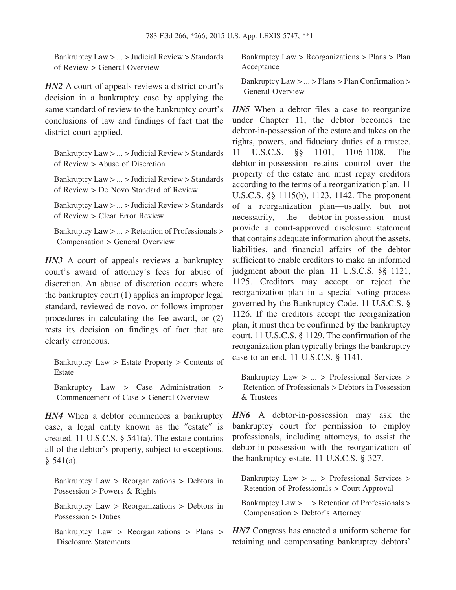Bankruptcy Law > ... > Judicial Review > Standards of Review > General Overview

*HN2* A court of appeals reviews a district court's decision in a bankruptcy case by applying the same standard of review to the bankruptcy court's conclusions of law and findings of fact that the district court applied.

Bankruptcy Law > ... > Judicial Review > Standards of Review > Abuse of Discretion

Bankruptcy Law > ... > Judicial Review > Standards of Review > De Novo Standard of Review

Bankruptcy Law > ... > Judicial Review > Standards of Review > Clear Error Review

Bankruptcy Law > ... > Retention of Professionals > Compensation > General Overview

*HN3* A court of appeals reviews a bankruptcy court's award of attorney's fees for abuse of discretion. An abuse of discretion occurs where the bankruptcy court (1) applies an improper legal standard, reviewed de novo, or follows improper procedures in calculating the fee award, or (2) rests its decision on findings of fact that are clearly erroneous.

Bankruptcy Law > Estate Property > Contents of Estate

Bankruptcy Law > Case Administration > Commencement of Case > General Overview

*HN4* When a debtor commences a bankruptcy case, a legal entity known as the ″estate″ is created. 11 U.S.C.S. § 541(a). The estate contains all of the debtor's property, subject to exceptions. § 541(a).

Bankruptcy Law > Reorganizations > Debtors in Possession > Powers  $& Rights$ 

Bankruptcy Law > Reorganizations > Debtors in Possession > Duties

Bankruptcy Law > Reorganizations > Plans > Disclosure Statements

Bankruptcy Law > Reorganizations > Plans > Plan Acceptance

Bankruptcy Law > ... > Plans > Plan Confirmation > General Overview

*HN5* When a debtor files a case to reorganize under Chapter 11, the debtor becomes the debtor-in-possession of the estate and takes on the rights, powers, and fiduciary duties of a trustee. 11 U.S.C.S. §§ 1101, 1106-1108. The debtor-in-possession retains control over the property of the estate and must repay creditors according to the terms of a reorganization plan. 11 U.S.C.S. §§ 1115(b), 1123, 1142. The proponent of a reorganization plan—usually, but not necessarily, the debtor-in-possession—must provide a court-approved disclosure statement that contains adequate information about the assets, liabilities, and financial affairs of the debtor sufficient to enable creditors to make an informed judgment about the plan. 11 U.S.C.S. §§ 1121, 1125. Creditors may accept or reject the reorganization plan in a special voting process governed by the Bankruptcy Code. 11 U.S.C.S. § 1126. If the creditors accept the reorganization plan, it must then be confirmed by the bankruptcy court. 11 U.S.C.S. § 1129. The confirmation of the reorganization plan typically brings the bankruptcy case to an end. 11 U.S.C.S. § 1141.

Bankruptcy Law > ... > Professional Services > Retention of Professionals > Debtors in Possession & Trustees

*HN6* A debtor-in-possession may ask the bankruptcy court for permission to employ professionals, including attorneys, to assist the debtor-in-possession with the reorganization of the bankruptcy estate. 11 U.S.C.S. § 327.

Bankruptcy Law > ... > Professional Services > Retention of Professionals > Court Approval

Bankruptcy Law > ... > Retention of Professionals > Compensation > Debtor's Attorney

*HN7* Congress has enacted a uniform scheme for retaining and compensating bankruptcy debtors'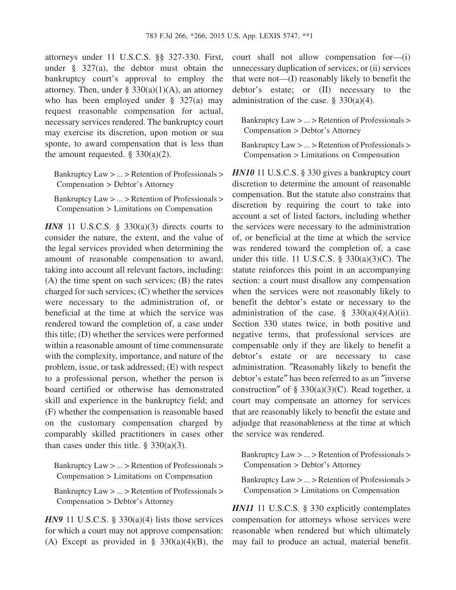attorneys under 11 U.S.C.S. §§ 327-330. First, under § 327(a), the debtor must obtain the bankruptcy court's approval to employ the attorney. Then, under §  $330(a)(1)(A)$ , an attorney who has been employed under § 327(a) may request reasonable compensation for actual, necessary services rendered. The bankruptcy court may exercise its discretion, upon motion or sua sponte, to award compensation that is less than the amount requested.  $\S$  330(a)(2).

Bankruptcy Law > ... > Retention of Professionals > Compensation > Debtor's Attorney

Bankruptcy Law > ... > Retention of Professionals > Compensation > Limitations on Compensation

*HN8* 11 U.S.C.S. § 330(a)(3) directs courts to consider the nature, the extent, and the value of the legal services provided when determining the amount of reasonable compensation to award, taking into account all relevant factors, including: (A) the time spent on such services; (B) the rates charged for such services; (C) whether the services were necessary to the administration of, or beneficial at the time at which the service was rendered toward the completion of, a case under this title; (D) whether the services were performed within a reasonable amount of time commensurate with the complexity, importance, and nature of the problem, issue, or task addressed; (E) with respect to a professional person, whether the person is board certified or otherwise has demonstrated skill and experience in the bankruptcy field; and (F) whether the compensation is reasonable based on the customary compensation charged by comparably skilled practitioners in cases other than cases under this title.  $\S$  330(a)(3).

Bankruptcy Law > ... > Retention of Professionals > Compensation > Limitations on Compensation

Bankruptcy Law > ... > Retention of Professionals > Compensation > Debtor's Attorney

*HN9* 11 U.S.C.S. § 330(a)(4) lists those services for which a court may not approve compensation: (A) Except as provided in  $\S$  330(a)(4)(B), the court shall not allow compensation for—(i) unnecessary duplication of services; or (ii) services that were not—(I) reasonably likely to benefit the debtor's estate; or (II) necessary to the administration of the case.  $\S$  330(a)(4).

Bankruptcy Law > ... > Retention of Professionals > Compensation > Debtor's Attorney

Bankruptcy Law > ... > Retention of Professionals > Compensation > Limitations on Compensation

*HN10* 11 U.S.C.S. § 330 gives a bankruptcy court discretion to determine the amount of reasonable compensation. But the statute also constrains that discretion by requiring the court to take into account a set of listed factors, including whether the services were necessary to the administration of, or beneficial at the time at which the service was rendered toward the completion of, a case under this title. 11 U.S.C.S.  $\S$  330(a)(3)(C). The statute reinforces this point in an accompanying section: a court must disallow any compensation when the services were not reasonably likely to benefit the debtor's estate or necessary to the administration of the case.  $\S$  330(a)(4)(A)(ii). Section 330 states twice, in both positive and negative terms, that professional services are compensable only if they are likely to benefit a debtor's estate or are necessary to case administration. ″Reasonably likely to benefit the debtor's estate″ has been referred to as an ″inverse construction" of § 330(a)(3)(C). Read together, a court may compensate an attorney for services that are reasonably likely to benefit the estate and adjudge that reasonableness at the time at which the service was rendered.

Bankruptcy Law > ... > Retention of Professionals > Compensation > Debtor's Attorney

Bankruptcy Law > ... > Retention of Professionals > Compensation > Limitations on Compensation

*HN11* 11 U.S.C.S. § 330 explicitly contemplates compensation for attorneys whose services were reasonable when rendered but which ultimately may fail to produce an actual, material benefit.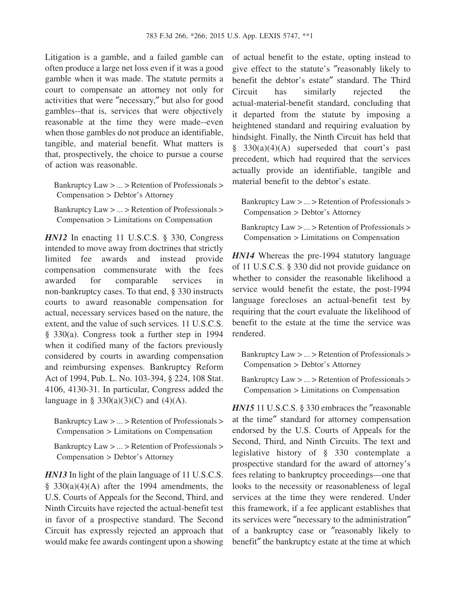Litigation is a gamble, and a failed gamble can often produce a large net loss even if it was a good gamble when it was made. The statute permits a court to compensate an attorney not only for activities that were ″necessary,″ but also for good gambles--that is, services that were objectively reasonable at the time they were made--even when those gambles do not produce an identifiable, tangible, and material benefit. What matters is that, prospectively, the choice to pursue a course of action was reasonable.

Bankruptcy Law > ... > Retention of Professionals > Compensation > Debtor's Attorney

Bankruptcy Law > ... > Retention of Professionals > Compensation > Limitations on Compensation

*HN12* In enacting 11 U.S.C.S. § 330, Congress intended to move away from doctrines that strictly limited fee awards and instead provide compensation commensurate with the fees awarded for comparable services in non-bankruptcy cases. To that end, § 330 instructs courts to award reasonable compensation for actual, necessary services based on the nature, the extent, and the value of such services. 11 U.S.C.S. § 330(a). Congress took a further step in 1994 when it codified many of the factors previously considered by courts in awarding compensation and reimbursing expenses. Bankruptcy Reform Act of 1994, Pub. L. No. 103-394, § 224, 108 Stat. 4106, 4130-31. In particular, Congress added the language in § 330(a)(3)(C) and (4)(A).

Bankruptcy Law > ... > Retention of Professionals > Compensation > Limitations on Compensation

Bankruptcy Law > ... > Retention of Professionals > Compensation > Debtor's Attorney

*HN13* In light of the plain language of 11 U.S.C.S.  $§$  330(a)(4)(A) after the 1994 amendments, the U.S. Courts of Appeals for the Second, Third, and Ninth Circuits have rejected the actual-benefit test in favor of a prospective standard. The Second Circuit has expressly rejected an approach that would make fee awards contingent upon a showing of actual benefit to the estate, opting instead to give effect to the statute's ″reasonably likely to benefit the debtor's estate″ standard. The Third Circuit has similarly rejected the actual-material-benefit standard, concluding that it departed from the statute by imposing a heightened standard and requiring evaluation by hindsight. Finally, the Ninth Circuit has held that  $§$  330(a)(4)(A) superseded that court's past precedent, which had required that the services actually provide an identifiable, tangible and material benefit to the debtor's estate.

Bankruptcy Law > ... > Retention of Professionals > Compensation > Debtor's Attorney

Bankruptcy Law > ... > Retention of Professionals > Compensation > Limitations on Compensation

*HN14* Whereas the pre-1994 statutory language of 11 U.S.C.S. § 330 did not provide guidance on whether to consider the reasonable likelihood a service would benefit the estate, the post-1994 language forecloses an actual-benefit test by requiring that the court evaluate the likelihood of benefit to the estate at the time the service was rendered.

Bankruptcy Law > ... > Retention of Professionals > Compensation > Debtor's Attorney

Bankruptcy Law > ... > Retention of Professionals > Compensation > Limitations on Compensation

*HN15* 11 U.S.C.S. § 330 embraces the "reasonable" at the time″ standard for attorney compensation endorsed by the U.S. Courts of Appeals for the Second, Third, and Ninth Circuits. The text and legislative history of § 330 contemplate a prospective standard for the award of attorney's fees relating to bankruptcy proceedings—one that looks to the necessity or reasonableness of legal services at the time they were rendered. Under this framework, if a fee applicant establishes that its services were ″necessary to the administration″ of a bankruptcy case or ″reasonably likely to benefit″ the bankruptcy estate at the time at which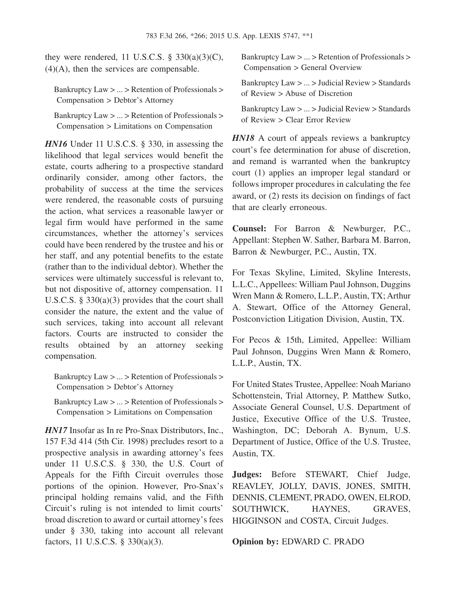they were rendered, 11 U.S.C.S.  $\S$  330(a)(3)(C),  $(4)(A)$ , then the services are compensable.

Bankruptcy Law > ... > Retention of Professionals > Compensation > Debtor's Attorney

Bankruptcy Law > ... > Retention of Professionals > Compensation > Limitations on Compensation

*HN16* Under 11 U.S.C.S. § 330, in assessing the likelihood that legal services would benefit the estate, courts adhering to a prospective standard ordinarily consider, among other factors, the probability of success at the time the services were rendered, the reasonable costs of pursuing the action, what services a reasonable lawyer or legal firm would have performed in the same circumstances, whether the attorney's services could have been rendered by the trustee and his or her staff, and any potential benefits to the estate (rather than to the individual debtor). Whether the services were ultimately successful is relevant to, but not dispositive of, attorney compensation. 11 U.S.C.S. § 330(a)(3) provides that the court shall consider the nature, the extent and the value of such services, taking into account all relevant factors. Courts are instructed to consider the results obtained by an attorney seeking compensation.

Bankruptcy Law > ... > Retention of Professionals > Compensation > Debtor's Attorney

Bankruptcy Law > ... > Retention of Professionals > Compensation > Limitations on Compensation

*HN17* Insofar as In re Pro-Snax Distributors, Inc., 157 F.3d 414 (5th Cir. 1998) precludes resort to a prospective analysis in awarding attorney's fees under 11 U.S.C.S. § 330, the U.S. Court of Appeals for the Fifth Circuit overrules those portions of the opinion. However, Pro-Snax's principal holding remains valid, and the Fifth Circuit's ruling is not intended to limit courts' broad discretion to award or curtail attorney's fees under § 330, taking into account all relevant factors, 11 U.S.C.S. § 330(a)(3).

Bankruptcy Law > ... > Retention of Professionals > Compensation > General Overview

Bankruptcy Law > ... > Judicial Review > Standards of Review > Abuse of Discretion

Bankruptcy Law > ... > Judicial Review > Standards of Review > Clear Error Review

*HN18* A court of appeals reviews a bankruptcy court's fee determination for abuse of discretion, and remand is warranted when the bankruptcy court (1) applies an improper legal standard or follows improper procedures in calculating the fee award, or (2) rests its decision on findings of fact that are clearly erroneous.

**Counsel:** For Barron & Newburger, P.C., Appellant: Stephen W. Sather, Barbara M. Barron, Barron & Newburger, P.C., Austin, TX.

For Texas Skyline, Limited, Skyline Interests, L.L.C., Appellees: William Paul Johnson, Duggins Wren Mann & Romero, L.L.P., Austin, TX; Arthur A. Stewart, Office of the Attorney General, Postconviction Litigation Division, Austin, TX.

For Pecos & 15th, Limited, Appellee: William Paul Johnson, Duggins Wren Mann & Romero, L.L.P., Austin, TX.

For United States Trustee, Appellee: Noah Mariano Schottenstein, Trial Attorney, P. Matthew Sutko, Associate General Counsel, U.S. Department of Justice, Executive Office of the U.S. Trustee, Washington, DC; Deborah A. Bynum, U.S. Department of Justice, Office of the U.S. Trustee, Austin, TX.

**Judges:** Before STEWART, Chief Judge, REAVLEY, JOLLY, DAVIS, JONES, SMITH, DENNIS, CLEMENT, PRADO, OWEN, ELROD, SOUTHWICK, HAYNES, GRAVES, HIGGINSON and COSTA, Circuit Judges.

**Opinion by:** EDWARD C. PRADO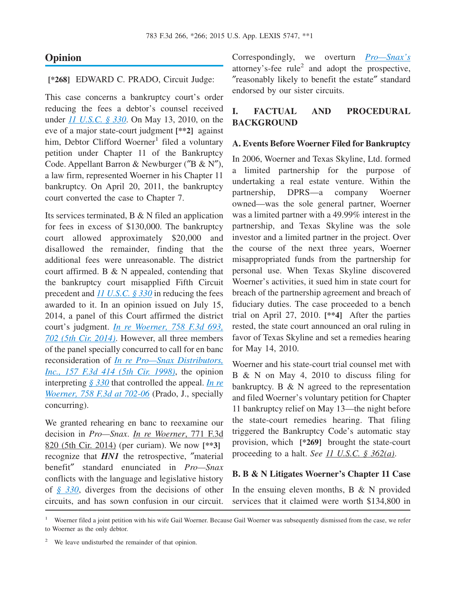### **Opinion**

#### **[\*268]** EDWARD C. PRADO, Circuit Judge:

This case concerns a bankruptcy court's order reducing the fees a debtor's counsel received under *[11 U.S.C. § 330](http://advance.lexis.com/api/document?collection=statutes-legislation&id=urn:contentItem:4YF7-GTG1-NRF4-429D-00000-00&context=1000516)*. On May 13, 2010, on the eve of a major state-court judgment **[\*\*2]** against him, Debtor Clifford Woerner<sup>1</sup> filed a voluntary petition under Chapter 11 of the Bankruptcy Code. Appellant Barron & Newburger (″B & N″), a law firm, represented Woerner in his Chapter 11 bankruptcy. On April 20, 2011, the bankruptcy court converted the case to Chapter 7.

Its services terminated, B & N filed an application for fees in excess of \$130,000. The bankruptcy court allowed approximately \$20,000 and disallowed the remainder, finding that the additional fees were unreasonable. The district court affirmed. B & N appealed, contending that the bankruptcy court misapplied Fifth Circuit precedent and *[11 U.S.C. § 330](http://advance.lexis.com/api/document?collection=statutes-legislation&id=urn:contentItem:4YF7-GTG1-NRF4-429D-00000-00&context=1000516)* in reducing the fees awarded to it. In an opinion issued on July 15, 2014, a panel of this Court affirmed the district court's judgment. *[In re Woerner, 758 F.3d 693,](http://advance.lexis.com/api/document?collection=cases&id=urn:contentItem:5CNT-9311-F04K-N18F-00000-00&context=1000516) [702 \(5th Cir. 2014\)](http://advance.lexis.com/api/document?collection=cases&id=urn:contentItem:5CNT-9311-F04K-N18F-00000-00&context=1000516)*. However, all three members of the panel specially concurred to call for en banc reconsideration of *[In re Pro—Snax Distributors,](http://advance.lexis.com/api/document?collection=cases&id=urn:contentItem:3TXS-P5Y0-0038-X06C-00000-00&context=1000516) [Inc., 157 F.3d 414 \(5th Cir. 1998\)](http://advance.lexis.com/api/document?collection=cases&id=urn:contentItem:3TXS-P5Y0-0038-X06C-00000-00&context=1000516)*, the opinion interpreting *[§ 330](http://advance.lexis.com/api/document?collection=statutes-legislation&id=urn:contentItem:4YF7-GTG1-NRF4-429D-00000-00&context=1000516)* that controlled the appeal. *[In re](http://advance.lexis.com/api/document?collection=cases&id=urn:contentItem:5CNT-9311-F04K-N18F-00000-00&context=1000516) [Woerner, 758 F.3d at 702-06](http://advance.lexis.com/api/document?collection=cases&id=urn:contentItem:5CNT-9311-F04K-N18F-00000-00&context=1000516)* (Prado, J., specially concurring).

We granted rehearing en banc to reexamine our decision in *Pro—Snax*. *In re Woerner*, 771 F.3d 820 (5th Cir. 2014) (per curiam). We now **[\*\*3]** recognize that *HN1* the retrospective, ″material benefit″ standard enunciated in *Pro—Snax* conflicts with the language and legislative history of *[§ 330](http://advance.lexis.com/api/document?collection=statutes-legislation&id=urn:contentItem:4YF7-GTG1-NRF4-429D-00000-00&context=1000516)*, diverges from the decisions of other circuits, and has sown confusion in our circuit.

Correspondingly, we overturn *[Pro—Snax's](http://advance.lexis.com/api/document?collection=cases&id=urn:contentItem:3TXS-P5Y0-0038-X06C-00000-00&context=1000516)* attorney's-fee rule<sup>2</sup> and adopt the prospective, ″reasonably likely to benefit the estate″ standard endorsed by our sister circuits.

### **I. FACTUAL AND PROCEDURAL BACKGROUND**

#### **A. Events Before Woerner Filed for Bankruptcy**

In 2006, Woerner and Texas Skyline, Ltd. formed a limited partnership for the purpose of undertaking a real estate venture. Within the partnership, DPRS—a company Woerner owned—was the sole general partner, Woerner was a limited partner with a 49.99% interest in the partnership, and Texas Skyline was the sole investor and a limited partner in the project. Over the course of the next three years, Woerner misappropriated funds from the partnership for personal use. When Texas Skyline discovered Woerner's activities, it sued him in state court for breach of the partnership agreement and breach of fiduciary duties. The case proceeded to a bench trial on April 27, 2010. **[\*\*4]** After the parties rested, the state court announced an oral ruling in favor of Texas Skyline and set a remedies hearing for May 14, 2010.

Woerner and his state-court trial counsel met with B & N on May 4, 2010 to discuss filing for bankruptcy. B  $&$  N agreed to the representation and filed Woerner's voluntary petition for Chapter 11 bankruptcy relief on May 13—the night before the state-court remedies hearing. That filing triggered the Bankruptcy Code's automatic stay provision, which **[\*269]** brought the state-court proceeding to a halt. *See 11 U.S.C. § 362(a)*.

#### **B. B & N Litigates Woerner's Chapter 11 Case**

In the ensuing eleven months,  $B \& N$  provided services that it claimed were worth \$134,800 in

<sup>1</sup> Woerner filed a joint petition with his wife Gail Woerner. Because Gail Woerner was subsequently dismissed from the case, we refer to Woerner as the only debtor.

<sup>&</sup>lt;sup>2</sup> We leave undisturbed the remainder of that opinion.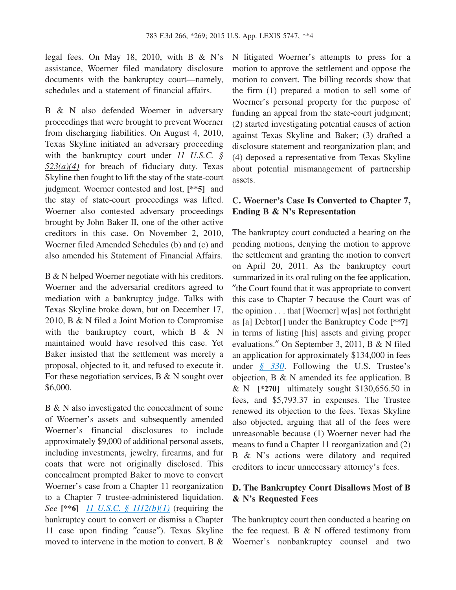legal fees. On May 18, 2010, with B  $\&$  N's assistance, Woerner filed mandatory disclosure documents with the bankruptcy court—namely, schedules and a statement of financial affairs.

B & N also defended Woerner in adversary proceedings that were brought to prevent Woerner from discharging liabilities. On August 4, 2010, Texas Skyline initiated an adversary proceeding with the bankruptcy court under *11 U.S.C. § 523(a)(4)* for breach of fiduciary duty. Texas Skyline then fought to lift the stay of the state-court judgment. Woerner contested and lost, **[\*\*5]** and the stay of state-court proceedings was lifted. Woerner also contested adversary proceedings brought by John Baker II, one of the other active creditors in this case. On November 2, 2010, Woerner filed Amended Schedules (b) and (c) and also amended his Statement of Financial Affairs.

B & N helped Woerner negotiate with his creditors. Woerner and the adversarial creditors agreed to mediation with a bankruptcy judge. Talks with Texas Skyline broke down, but on December 17, 2010, B & N filed a Joint Motion to Compromise with the bankruptcy court, which B & N maintained would have resolved this case. Yet Baker insisted that the settlement was merely a proposal, objected to it, and refused to execute it. For these negotiation services,  $B \& N$  sought over \$6,000.

B & N also investigated the concealment of some of Woerner's assets and subsequently amended Woerner's financial disclosures to include approximately \$9,000 of additional personal assets, including investments, jewelry, firearms, and fur coats that were not originally disclosed. This concealment prompted Baker to move to convert Woerner's case from a Chapter 11 reorganization to a Chapter 7 trustee-administered liquidation. *See* **[\*\*6]** *[11 U.S.C. § 1112\(b\)\(1\)](http://advance.lexis.com/api/document?collection=statutes-legislation&id=urn:contentItem:4YF7-GHB1-NRF4-401F-00000-00&context=1000516)* (requiring the bankruptcy court to convert or dismiss a Chapter 11 case upon finding ″cause″). Texas Skyline moved to intervene in the motion to convert. B &

N litigated Woerner's attempts to press for a motion to approve the settlement and oppose the motion to convert. The billing records show that the firm (1) prepared a motion to sell some of Woerner's personal property for the purpose of funding an appeal from the state-court judgment; (2) started investigating potential causes of action against Texas Skyline and Baker; (3) drafted a disclosure statement and reorganization plan; and (4) deposed a representative from Texas Skyline about potential mismanagement of partnership assets.

#### **C. Woerner's Case Is Converted to Chapter 7, Ending B & N's Representation**

The bankruptcy court conducted a hearing on the pending motions, denying the motion to approve the settlement and granting the motion to convert on April 20, 2011. As the bankruptcy court summarized in its oral ruling on the fee application, ″the Court found that it was appropriate to convert this case to Chapter 7 because the Court was of the opinion . . . that [Woerner] w[as] not forthright as [a] Debtor[] under the Bankruptcy Code **[\*\*7]** in terms of listing [his] assets and giving proper evaluations.″ On September 3, 2011, B & N filed an application for approximately \$134,000 in fees under *[§ 330](http://advance.lexis.com/api/document?collection=statutes-legislation&id=urn:contentItem:4YF7-GTG1-NRF4-429D-00000-00&context=1000516)*. Following the U.S. Trustee's objection, B & N amended its fee application. B & N **[\*270]** ultimately sought \$130,656.50 in fees, and \$5,793.37 in expenses. The Trustee renewed its objection to the fees. Texas Skyline also objected, arguing that all of the fees were unreasonable because (1) Woerner never had the means to fund a Chapter 11 reorganization and (2) B & N's actions were dilatory and required creditors to incur unnecessary attorney's fees.

#### **D. The Bankruptcy Court Disallows Most of B & N's Requested Fees**

The bankruptcy court then conducted a hearing on the fee request. B  $&$  N offered testimony from Woerner's nonbankruptcy counsel and two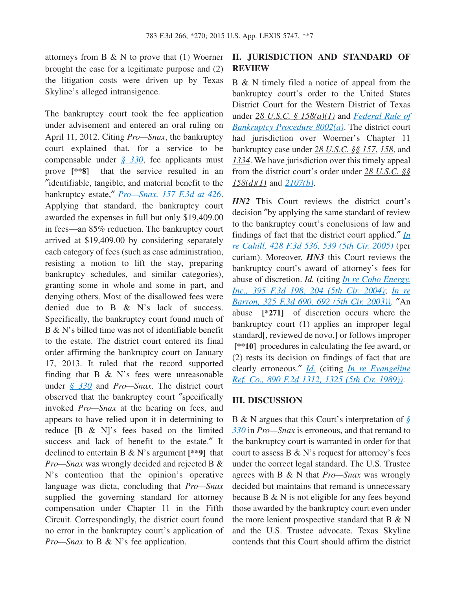attorneys from B  $\&$  N to prove that (1) Woerner brought the case for a legitimate purpose and (2) the litigation costs were driven up by Texas Skyline's alleged intransigence.

The bankruptcy court took the fee application under advisement and entered an oral ruling on April 11, 2012. Citing *Pro—Snax*, the bankruptcy court explained that, for a service to be compensable under *[§ 330](http://advance.lexis.com/api/document?collection=statutes-legislation&id=urn:contentItem:4YF7-GTG1-NRF4-429D-00000-00&context=1000516)*, fee applicants must prove **[\*\*8]** that the service resulted in an ″identifiable, tangible, and material benefit to the bankruptcy estate,″ *[Pro—Snax, 157 F.3d at 426](http://advance.lexis.com/api/document?collection=cases&id=urn:contentItem:3TXS-P5Y0-0038-X06C-00000-00&context=1000516)*. Applying that standard, the bankruptcy court awarded the expenses in full but only \$19,409.00 in fees—an 85% reduction. The bankruptcy court arrived at \$19,409.00 by considering separately each category of fees (such as case administration, resisting a motion to lift the stay, preparing bankruptcy schedules, and similar categories), granting some in whole and some in part, and denying others. Most of the disallowed fees were denied due to B & N's lack of success. Specifically, the bankruptcy court found much of B & N's billed time was not of identifiable benefit to the estate. The district court entered its final order affirming the bankruptcy court on January 17, 2013. It ruled that the record supported finding that  $B \& N$ 's fees were unreasonable under *[§ 330](http://advance.lexis.com/api/document?collection=statutes-legislation&id=urn:contentItem:4YF7-GTG1-NRF4-429D-00000-00&context=1000516)* and *Pro—Snax*. The district court observed that the bankruptcy court ″specifically invoked *Pro—Snax* at the hearing on fees, and appears to have relied upon it in determining to reduce [B & N]'s fees based on the limited success and lack of benefit to the estate.″ It declined to entertain B & N's argument **[\*\*9]** that *Pro—Snax* was wrongly decided and rejected B & N's contention that the opinion's operative language was dicta, concluding that *Pro—Snax* supplied the governing standard for attorney compensation under Chapter 11 in the Fifth Circuit. Correspondingly, the district court found no error in the bankruptcy court's application of *Pro—Snax* to B & N's fee application.

### **II. JURISDICTION AND STANDARD OF REVIEW**

B & N timely filed a notice of appeal from the bankruptcy court's order to the United States District Court for the Western District of Texas under *28 U.S.C. § 158(a)(1)* and *[Federal Rule of](http://advance.lexis.com/api/document?collection=statutes-legislation&id=urn:contentItem:4YF7-GW11-NRF4-41Y5-00000-00&context=1000516) [Bankruptcy Procedure 8002\(a\)](http://advance.lexis.com/api/document?collection=statutes-legislation&id=urn:contentItem:4YF7-GW11-NRF4-41Y5-00000-00&context=1000516)*. The district court had jurisdiction over Woerner's Chapter 11 bankruptcy case under *28 U.S.C. §§ 157*, *158*, and *1334*. We have jurisdiction over this timely appeal from the district court's order under *28 U.S.C. §§ 158(d)(1)* and *[2107\(b\)](http://advance.lexis.com/api/document?collection=statutes-legislation&id=urn:contentItem:4YF7-GT21-NRF4-43GT-00000-00&context=1000516)*.

*HN2* This Court reviews the district court's decision ″by applying the same standard of review to the bankruptcy court's conclusions of law and findings of fact that the district court applied.″ *[In](http://advance.lexis.com/api/document?collection=cases&id=urn:contentItem:4H9S-8XC0-0038-X0NX-00000-00&context=1000516) [re Cahill, 428 F.3d 536, 539 \(5th Cir. 2005\)](http://advance.lexis.com/api/document?collection=cases&id=urn:contentItem:4H9S-8XC0-0038-X0NX-00000-00&context=1000516)* (per curiam). Moreover, *HN3* this Court reviews the bankruptcy court's award of attorney's fees for abuse of discretion. *Id.* (citing *[In re Coho Energy,](http://advance.lexis.com/api/document?collection=cases&id=urn:contentItem:4F2M-WR90-0038-X23R-00000-00&context=1000516) [Inc., 395 F.3d 198, 204 \(5th Cir. 2004\)](http://advance.lexis.com/api/document?collection=cases&id=urn:contentItem:4F2M-WR90-0038-X23R-00000-00&context=1000516)*; *[In re](http://advance.lexis.com/api/document?collection=cases&id=urn:contentItem:4895-3050-0038-X016-00000-00&context=1000516) [Barron, 325 F.3d 690, 692 \(5th Cir. 2003\)\)](http://advance.lexis.com/api/document?collection=cases&id=urn:contentItem:4895-3050-0038-X016-00000-00&context=1000516)*. ″An abuse **[\*271]** of discretion occurs where the bankruptcy court (1) applies an improper legal standard[, reviewed de novo,] or follows improper **[\*\*10]** procedures in calculating the fee award, or (2) rests its decision on findings of fact that are clearly erroneous.″ *[Id.](http://advance.lexis.com/api/document?collection=cases&id=urn:contentItem:4H9S-8XC0-0038-X0NX-00000-00&context=1000516)* (citing *[In re Evangeline](http://advance.lexis.com/api/document?collection=cases&id=urn:contentItem:3S4X-80T0-003B-50GD-00000-00&context=1000516) [Ref. Co., 890 F.2d 1312, 1325 \(5th Cir. 1989\)\)](http://advance.lexis.com/api/document?collection=cases&id=urn:contentItem:3S4X-80T0-003B-50GD-00000-00&context=1000516)*.

#### **III. DISCUSSION**

B & N argues that this Court's interpretation of *[§](http://advance.lexis.com/api/document?collection=statutes-legislation&id=urn:contentItem:4YF7-GTG1-NRF4-429D-00000-00&context=1000516) [330](http://advance.lexis.com/api/document?collection=statutes-legislation&id=urn:contentItem:4YF7-GTG1-NRF4-429D-00000-00&context=1000516)* in *Pro—Snax* is erroneous, and that remand to the bankruptcy court is warranted in order for that court to assess B & N's request for attorney's fees under the correct legal standard. The U.S. Trustee agrees with B & N that *Pro—Snax* was wrongly decided but maintains that remand is unnecessary because B & N is not eligible for any fees beyond those awarded by the bankruptcy court even under the more lenient prospective standard that  $B \& N$ and the U.S. Trustee advocate. Texas Skyline contends that this Court should affirm the district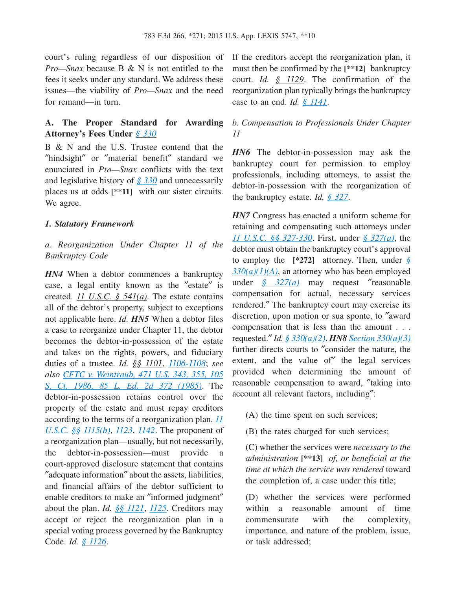court's ruling regardless of our disposition of *Pro—Snax* because B & N is not entitled to the fees it seeks under any standard. We address these issues—the viability of *Pro—Snax* and the need for remand—in turn.

### **A. The Proper Standard for Awarding Attorney's Fees Under** *[§ 330](http://advance.lexis.com/api/document?collection=statutes-legislation&id=urn:contentItem:4YF7-GTG1-NRF4-429D-00000-00&context=1000516)*

B & N and the U.S. Trustee contend that the ″hindsight″ or ″material benefit″ standard we enunciated in *Pro—Snax* conflicts with the text and legislative history of *[§ 330](http://advance.lexis.com/api/document?collection=statutes-legislation&id=urn:contentItem:4YF7-GTG1-NRF4-429D-00000-00&context=1000516)* and unnecessarily places us at odds **[\*\*11]** with our sister circuits. We agree.

#### *1. Statutory Framework*

### *a. Reorganization Under Chapter 11 of the Bankruptcy Code*

*HN4* When a debtor commences a bankruptcy case, a legal entity known as the ″estate″ is created. *11 U.S.C. § 541(a)*. The estate contains all of the debtor's property, subject to exceptions not applicable here. *Id. HN5* When a debtor files a case to reorganize under Chapter 11, the debtor becomes the debtor-in-possession of the estate and takes on the rights, powers, and fiduciary duties of a trustee. *Id. §§ 1101*, *[1106-1108](http://advance.lexis.com/api/document?collection=statutes-legislation&id=urn:contentItem:4YF7-GJJ1-NRF4-418K-00000-00&context=1000516)*; *see also [CFTC v. Weintraub, 471 U.S. 343, 355, 105](http://advance.lexis.com/api/document?collection=cases&id=urn:contentItem:3S4X-BTV0-0039-N0C7-00000-00&context=1000516) [S. Ct. 1986, 85 L. Ed. 2d 372 \(1985\)](http://advance.lexis.com/api/document?collection=cases&id=urn:contentItem:3S4X-BTV0-0039-N0C7-00000-00&context=1000516)*. The debtor-in-possession retains control over the property of the estate and must repay creditors according to the terms of a reorganization plan. *[11](http://advance.lexis.com/api/document?collection=statutes-legislation&id=urn:contentItem:4YF7-GT91-NRF4-40GT-00000-00&context=1000516) [U.S.C. §§ 1115\(b\)](http://advance.lexis.com/api/document?collection=statutes-legislation&id=urn:contentItem:4YF7-GT91-NRF4-40GT-00000-00&context=1000516)*, *[1123](http://advance.lexis.com/api/document?collection=statutes-legislation&id=urn:contentItem:4YF7-GR61-NRF4-40C6-00000-00&context=1000516)*, *[1142](http://advance.lexis.com/api/document?collection=statutes-legislation&id=urn:contentItem:4YF7-GHY1-NRF4-408J-00000-00&context=1000516)*. The proponent of a reorganization plan—usually, but not necessarily, the debtor-in-possession—must provide a court-approved disclosure statement that contains ″adequate information″ about the assets, liabilities, and financial affairs of the debtor sufficient to enable creditors to make an ″informed judgment″ about the plan. *Id. [§§ 1121](http://advance.lexis.com/api/document?collection=statutes-legislation&id=urn:contentItem:4YF7-GW21-NRF4-426K-00000-00&context=1000516)*, *[1125](http://advance.lexis.com/api/document?collection=statutes-legislation&id=urn:contentItem:4YF7-GV51-NRF4-4401-00000-00&context=1000516)*. Creditors may accept or reject the reorganization plan in a special voting process governed by the Bankruptcy Code. *Id. [§ 1126](http://advance.lexis.com/api/document?collection=statutes-legislation&id=urn:contentItem:4YF7-GR41-NRF4-4541-00000-00&context=1000516)*.

If the creditors accept the reorganization plan, it must then be confirmed by the **[\*\*12]** bankruptcy court. *Id. § 1129*. The confirmation of the reorganization plan typically brings the bankruptcy case to an end. *Id. [§ 1141](http://advance.lexis.com/api/document?collection=statutes-legislation&id=urn:contentItem:4YF7-GPX1-NRF4-42RK-00000-00&context=1000516)*.

#### *b. Compensation to Professionals Under Chapter 11*

*HN6* The debtor-in-possession may ask the bankruptcy court for permission to employ professionals, including attorneys, to assist the debtor-in-possession with the reorganization of the bankruptcy estate. *Id. [§ 327](http://advance.lexis.com/api/document?collection=statutes-legislation&id=urn:contentItem:4YF7-GN71-NRF4-41YF-00000-00&context=1000516)*.

*HN7* Congress has enacted a uniform scheme for retaining and compensating such attorneys under *[11 U.S.C. §§ 327-330](http://advance.lexis.com/api/document?collection=statutes-legislation&id=urn:contentItem:4YF7-GN71-NRF4-41YF-00000-00&context=1000516)*. First, under *[§ 327\(a\)](http://advance.lexis.com/api/document?collection=statutes-legislation&id=urn:contentItem:4YF7-GN71-NRF4-41YF-00000-00&context=1000516)*, the debtor must obtain the bankruptcy court's approval to employ the **[\*272]** attorney. Then, under *[§](http://advance.lexis.com/api/document?collection=statutes-legislation&id=urn:contentItem:4YF7-GTG1-NRF4-429D-00000-00&context=1000516)*  $330(a)(1)(A)$ , an attorney who has been employed under *[§ 327\(a\)](http://advance.lexis.com/api/document?collection=statutes-legislation&id=urn:contentItem:4YF7-GN71-NRF4-41YF-00000-00&context=1000516)* may request ″reasonable compensation for actual, necessary services rendered.″ The bankruptcy court may exercise its discretion, upon motion or sua sponte, to ″award compensation that is less than the amount . . . requested.″ *Id. [§ 330\(a\)\(2\)](http://advance.lexis.com/api/document?collection=statutes-legislation&id=urn:contentItem:4YF7-GTG1-NRF4-429D-00000-00&context=1000516)*. *HN8 [Section 330\(a\)\(3\)](http://advance.lexis.com/api/document?collection=statutes-legislation&id=urn:contentItem:4YF7-GTG1-NRF4-429D-00000-00&context=1000516)* further directs courts to ″consider the nature, the extent, and the value of″ the legal services provided when determining the amount of reasonable compensation to award, ″taking into account all relevant factors, including″:

- (A) the time spent on such services;
- (B) the rates charged for such services;

(C) whether the services were *necessary to the administration* **[\*\*13]** *of, or beneficial at the time at which the service was rendered* toward the completion of, a case under this title;

(D) whether the services were performed within a reasonable amount of time commensurate with the complexity, importance, and nature of the problem, issue, or task addressed;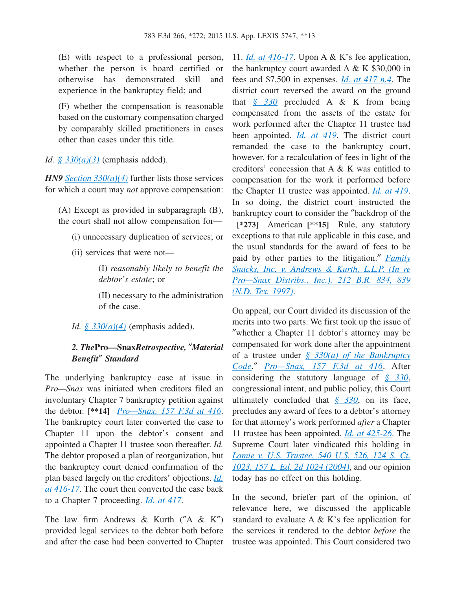(E) with respect to a professional person, whether the person is board certified or otherwise has demonstrated skill and experience in the bankruptcy field; and

(F) whether the compensation is reasonable based on the customary compensation charged by comparably skilled practitioners in cases other than cases under this title.

*Id. [§ 330\(a\)\(3\)](http://advance.lexis.com/api/document?collection=statutes-legislation&id=urn:contentItem:4YF7-GTG1-NRF4-429D-00000-00&context=1000516)* (emphasis added).

*HN9 [Section 330\(a\)\(4\)](http://advance.lexis.com/api/document?collection=statutes-legislation&id=urn:contentItem:4YF7-GTG1-NRF4-429D-00000-00&context=1000516)* further lists those services for which a court may *not* approve compensation:

(A) Except as provided in subparagraph (B), the court shall not allow compensation for—

(i) unnecessary duplication of services; or

(ii) services that were not—

(I) *reasonably likely to benefit the debtor's estate*; or

(II) necessary to the administration of the case.

*Id. [§ 330\(a\)\(4\)](http://advance.lexis.com/api/document?collection=statutes-legislation&id=urn:contentItem:4YF7-GTG1-NRF4-429D-00000-00&context=1000516)* (emphasis added).

#### *2. The***Pro—Snax***Retrospective,* ″*Material Benefit*″ *Standard*

The underlying bankruptcy case at issue in *Pro—Snax* was initiated when creditors filed an involuntary Chapter 7 bankruptcy petition against the debtor. **[\*\*14]** *[Pro—Snax, 157 F.3d at 416](http://advance.lexis.com/api/document?collection=cases&id=urn:contentItem:3TXS-P5Y0-0038-X06C-00000-00&context=1000516)*. The bankruptcy court later converted the case to Chapter 11 upon the debtor's consent and appointed a Chapter 11 trustee soon thereafter. *Id.* The debtor proposed a plan of reorganization, but the bankruptcy court denied confirmation of the plan based largely on the creditors' objections. *[Id.](http://advance.lexis.com/api/document?collection=cases&id=urn:contentItem:3TXS-P5Y0-0038-X06C-00000-00&context=1000516) [at 416-17](http://advance.lexis.com/api/document?collection=cases&id=urn:contentItem:3TXS-P5Y0-0038-X06C-00000-00&context=1000516)*. The court then converted the case back to a Chapter 7 proceeding. *[Id. at 417](http://advance.lexis.com/api/document?collection=cases&id=urn:contentItem:3TXS-P5Y0-0038-X06C-00000-00&context=1000516)*.

The law firm Andrews  $\&$  Kurth ("A  $\&$  K") provided legal services to the debtor both before and after the case had been converted to Chapter

11. *[Id. at 416-17](http://advance.lexis.com/api/document?collection=cases&id=urn:contentItem:3TXS-P5Y0-0038-X06C-00000-00&context=1000516)*. Upon A & K's fee application, the bankruptcy court awarded  $A \& K $30,000$  in fees and \$7,500 in expenses. *[Id. at 417 n.4](http://advance.lexis.com/api/document?collection=cases&id=urn:contentItem:3TXS-P5Y0-0038-X06C-00000-00&context=1000516)*. The district court reversed the award on the ground that *[§ 330](http://advance.lexis.com/api/document?collection=statutes-legislation&id=urn:contentItem:4YF7-GTG1-NRF4-429D-00000-00&context=1000516)* precluded A & K from being compensated from the assets of the estate for work performed after the Chapter 11 trustee had been appointed. *[Id. at 419](http://advance.lexis.com/api/document?collection=cases&id=urn:contentItem:3TXS-P5Y0-0038-X06C-00000-00&context=1000516)*. The district court remanded the case to the bankruptcy court, however, for a recalculation of fees in light of the creditors' concession that A & K was entitled to compensation for the work it performed before the Chapter 11 trustee was appointed. *[Id. at 419](http://advance.lexis.com/api/document?collection=cases&id=urn:contentItem:3TXS-P5Y0-0038-X06C-00000-00&context=1000516)*. In so doing, the district court instructed the bankruptcy court to consider the ″backdrop of the **[\*273]** American **[\*\*15]** Rule, any statutory exceptions to that rule applicable in this case, and the usual standards for the award of fees to be paid by other parties to the litigation.″ *[Family](http://advance.lexis.com/api/document?collection=cases&id=urn:contentItem:3RJ6-GC90-0038-Y2H6-00000-00&context=1000516) [Snacks, Inc. v. Andrews & Kurth, L.L.P. \(In re](http://advance.lexis.com/api/document?collection=cases&id=urn:contentItem:3RJ6-GC90-0038-Y2H6-00000-00&context=1000516) [Pro—Snax Distribs., Inc.\), 212 B.R. 834, 839](http://advance.lexis.com/api/document?collection=cases&id=urn:contentItem:3RJ6-GC90-0038-Y2H6-00000-00&context=1000516) [\(N.D. Tex. 1997\)](http://advance.lexis.com/api/document?collection=cases&id=urn:contentItem:3RJ6-GC90-0038-Y2H6-00000-00&context=1000516)*.

On appeal, our Court divided its discussion of the merits into two parts. We first took up the issue of ″whether a Chapter 11 debtor's attorney may be compensated for work done after the appointment of a trustee under *[§ 330\(a\) of the Bankruptcy](http://advance.lexis.com/api/document?collection=statutes-legislation&id=urn:contentItem:4YF7-GTG1-NRF4-429D-00000-00&context=1000516) [Code](http://advance.lexis.com/api/document?collection=statutes-legislation&id=urn:contentItem:4YF7-GTG1-NRF4-429D-00000-00&context=1000516)*.″ *[Pro—Snax, 157 F.3d at 416](http://advance.lexis.com/api/document?collection=cases&id=urn:contentItem:3TXS-P5Y0-0038-X06C-00000-00&context=1000516)*. After considering the statutory language of *[§ 330](http://advance.lexis.com/api/document?collection=statutes-legislation&id=urn:contentItem:4YF7-GTG1-NRF4-429D-00000-00&context=1000516)*, congressional intent, and public policy, this Court ultimately concluded that *[§ 330](http://advance.lexis.com/api/document?collection=statutes-legislation&id=urn:contentItem:4YF7-GTG1-NRF4-429D-00000-00&context=1000516)*, on its face, precludes any award of fees to a debtor's attorney for that attorney's work performed *after* a Chapter 11 trustee has been appointed. *[Id. at 425-26](http://advance.lexis.com/api/document?collection=cases&id=urn:contentItem:3TXS-P5Y0-0038-X06C-00000-00&context=1000516)*. The Supreme Court later vindicated this holding in *[Lamie v. U.S. Trustee, 540 U.S. 526, 124 S. Ct.](http://advance.lexis.com/api/document?collection=cases&id=urn:contentItem:4BJD-D5C0-004B-Y02X-00000-00&context=1000516) [1023, 157 L. Ed. 2d 1024 \(2004\)](http://advance.lexis.com/api/document?collection=cases&id=urn:contentItem:4BJD-D5C0-004B-Y02X-00000-00&context=1000516)*, and our opinion today has no effect on this holding.

In the second, briefer part of the opinion, of relevance here, we discussed the applicable standard to evaluate  $A \& K$ 's fee application for the services it rendered to the debtor *before* the trustee was appointed. This Court considered two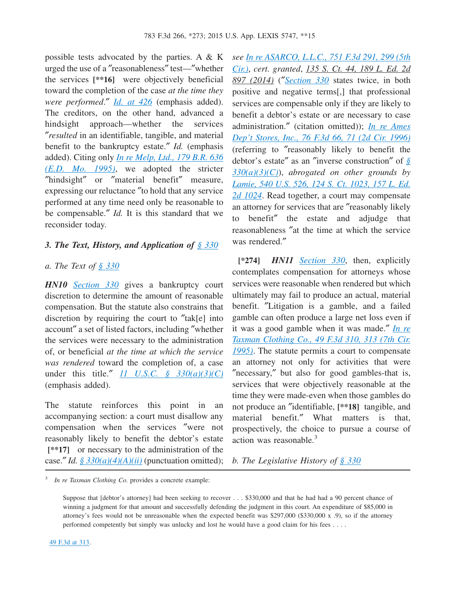possible tests advocated by the parties. A & K urged the use of a ″reasonableness″ test—″whether the services **[\*\*16]** were objectively beneficial toward the completion of the case *at the time they were performed*.″ *[Id. at 426](http://advance.lexis.com/api/document?collection=cases&id=urn:contentItem:3TXS-P5Y0-0038-X06C-00000-00&context=1000516)* (emphasis added). The creditors, on the other hand, advanced a hindsight approach—whether the services ″*resulted* in an identifiable, tangible, and material benefit to the bankruptcy estate.″ *Id.* (emphasis added). Citing only *[In re Melp, Ltd., 179 B.R. 636](http://advance.lexis.com/api/document?collection=cases&id=urn:contentItem:3S4N-RJP0-001T-5546-00000-00&context=1000516) [\(E.D. Mo. 1995\)](http://advance.lexis.com/api/document?collection=cases&id=urn:contentItem:3S4N-RJP0-001T-5546-00000-00&context=1000516)*, we adopted the stricter ″hindsight″ or ″material benefit″ measure, expressing our reluctance ″to hold that any service performed at any time need only be reasonable to be compensable.″ *Id.* It is this standard that we reconsider today.

#### *3. The Text, History, and Application of [§ 330](http://advance.lexis.com/api/document?collection=statutes-legislation&id=urn:contentItem:4YF7-GTG1-NRF4-429D-00000-00&context=1000516)*

#### *a. The Text of [§ 330](http://advance.lexis.com/api/document?collection=statutes-legislation&id=urn:contentItem:4YF7-GTG1-NRF4-429D-00000-00&context=1000516)*

*HN10 [Section 330](http://advance.lexis.com/api/document?collection=statutes-legislation&id=urn:contentItem:4YF7-GTG1-NRF4-429D-00000-00&context=1000516)* gives a bankruptcy court discretion to determine the amount of reasonable compensation. But the statute also constrains that discretion by requiring the court to ″tak[e] into account″ a set of listed factors, including ″whether the services were necessary to the administration of, or beneficial *at the time at which the service was rendered* toward the completion of, a case under this title.″ *[11 U.S.C. § 330\(a\)\(3\)\(C\)](http://advance.lexis.com/api/document?collection=statutes-legislation&id=urn:contentItem:4YF7-GTG1-NRF4-429D-00000-00&context=1000516)* (emphasis added).

The statute reinforces this point in an accompanying section: a court must disallow any compensation when the services ″were not reasonably likely to benefit the debtor's estate **[\*\*17]** or necessary to the administration of the case." *Id.*  $\frac{8}{3}$   $\frac{330(a)(4)(A)(ii)}{20}$  (punctuation omitted); *see [In re ASARCO, L.L.C., 751 F.3d 291, 299 \(5th](http://advance.lexis.com/api/document?collection=cases&id=urn:contentItem:5C3K-HGK1-F04K-N00V-00000-00&context=1000516) [Cir.\)](http://advance.lexis.com/api/document?collection=cases&id=urn:contentItem:5C3K-HGK1-F04K-N00V-00000-00&context=1000516)*, *cert. granted*, *135 S. Ct. 44, 189 L. Ed. 2d 897 (2014)* (″*[Section 330](http://advance.lexis.com/api/document?collection=statutes-legislation&id=urn:contentItem:4YF7-GTG1-NRF4-429D-00000-00&context=1000516)* states twice, in both positive and negative terms[,] that professional services are compensable only if they are likely to benefit a debtor's estate or are necessary to case administration.″ (citation omitted)); *[In re Ames](http://advance.lexis.com/api/document?collection=cases&id=urn:contentItem:3S4X-4MP0-006F-M4B2-00000-00&context=1000516) [Dep't Stores, Inc., 76 F.3d 66, 71 \(2d Cir. 1996\)](http://advance.lexis.com/api/document?collection=cases&id=urn:contentItem:3S4X-4MP0-006F-M4B2-00000-00&context=1000516)* (referring to ″reasonably likely to benefit the debtor's estate″ as an ″inverse construction″ of *[§](http://advance.lexis.com/api/document?collection=statutes-legislation&id=urn:contentItem:4YF7-GTG1-NRF4-429D-00000-00&context=1000516) [330\(a\)\(3\)\(C\)](http://advance.lexis.com/api/document?collection=statutes-legislation&id=urn:contentItem:4YF7-GTG1-NRF4-429D-00000-00&context=1000516)*), *abrogated on other grounds by [Lamie, 540 U.S. 526, 124 S. Ct. 1023, 157 L. Ed.](http://advance.lexis.com/api/document?collection=cases&id=urn:contentItem:4BJD-D5C0-004B-Y02X-00000-00&context=1000516) [2d 1024](http://advance.lexis.com/api/document?collection=cases&id=urn:contentItem:4BJD-D5C0-004B-Y02X-00000-00&context=1000516)*. Read together, a court may compensate an attorney for services that are ″reasonably likely to benefit″ the estate and adjudge that reasonableness ″at the time at which the service was rendered.″

**[\*274]** *HN11 [Section 330](http://advance.lexis.com/api/document?collection=statutes-legislation&id=urn:contentItem:4YF7-GTG1-NRF4-429D-00000-00&context=1000516)*, then, explicitly contemplates compensation for attorneys whose services were reasonable when rendered but which ultimately may fail to produce an actual, material benefit. ″Litigation is a gamble, and a failed gamble can often produce a large net loss even if it was a good gamble when it was made.″ *[In re](http://advance.lexis.com/api/document?collection=cases&id=urn:contentItem:3S4X-GM60-001T-D3WB-00000-00&context=1000516) [Taxman Clothing Co., 49 F.3d 310, 313 \(7th Cir.](http://advance.lexis.com/api/document?collection=cases&id=urn:contentItem:3S4X-GM60-001T-D3WB-00000-00&context=1000516) [1995\)](http://advance.lexis.com/api/document?collection=cases&id=urn:contentItem:3S4X-GM60-001T-D3WB-00000-00&context=1000516)*. The statute permits a court to compensate an attorney not only for activities that were ″necessary,″ but also for good gambles-that is, services that were objectively reasonable at the time they were made-even when those gambles do not produce an ″identifiable, **[\*\*18]** tangible, and material benefit.″ What matters is that, prospectively, the choice to pursue a course of action was reasonable. $3$ 

*b. The Legislative History of [§ 330](http://advance.lexis.com/api/document?collection=statutes-legislation&id=urn:contentItem:4YF7-GTG1-NRF4-429D-00000-00&context=1000516)*

3 *In re Taxman Clothing Co.* provides a concrete example:

Suppose that [debtor's attorney] had been seeking to recover . . . \$330,000 and that he had had a 90 percent chance of winning a judgment for that amount and successfully defending the judgment in this court. An expenditure of \$85,000 in attorney's fees would not be unreasonable when the expected benefit was \$297,000 (\$330,000 x .9), so if the attorney performed competently but simply was unlucky and lost he would have a good claim for his fees . . . .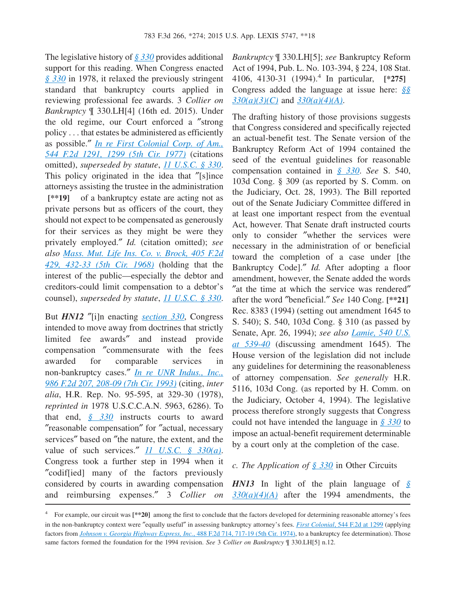The legislative history of *[§ 330](http://advance.lexis.com/api/document?collection=statutes-legislation&id=urn:contentItem:4YF7-GTG1-NRF4-429D-00000-00&context=1000516)* provides additional support for this reading. When Congress enacted *[§ 330](http://advance.lexis.com/api/document?collection=statutes-legislation&id=urn:contentItem:4YF7-GTG1-NRF4-429D-00000-00&context=1000516)* in 1978, it relaxed the previously stringent standard that bankruptcy courts applied in reviewing professional fee awards. 3 *Collier on Bankruptcy* ¶ 330.LH[4] (16th ed. 2015). Under the old regime, our Court enforced a ″strong policy . . . that estates be administered as efficiently as possible.″ *[In re First Colonial Corp. of Am.,](http://advance.lexis.com/api/document?collection=cases&id=urn:contentItem:3S4X-18F0-0039-M078-00000-00&context=1000516) [544 F.2d 1291, 1299 \(5th Cir. 1977\)](http://advance.lexis.com/api/document?collection=cases&id=urn:contentItem:3S4X-18F0-0039-M078-00000-00&context=1000516)* (citations omitted), *superseded by statute*, *[11 U.S.C. § 330](http://advance.lexis.com/api/document?collection=statutes-legislation&id=urn:contentItem:4YF7-GTG1-NRF4-429D-00000-00&context=1000516)*. This policy originated in the idea that ″[s]ince attorneys assisting the trustee in the administration **[\*\*19]** of a bankruptcy estate are acting not as private persons but as officers of the court, they should not expect to be compensated as generously for their services as they might be were they privately employed.″ *Id.* (citation omitted); *see also [Mass. Mut. Life Ins. Co. v. Brock, 405 F.2d](http://advance.lexis.com/api/document?collection=cases&id=urn:contentItem:3S4W-TXT0-0039-Y23P-00000-00&context=1000516) [429, 432-33 \(5th Cir. 1968\)](http://advance.lexis.com/api/document?collection=cases&id=urn:contentItem:3S4W-TXT0-0039-Y23P-00000-00&context=1000516)* (holding that the interest of the public—especially the debtor and creditors-could limit compensation to a debtor's counsel), *superseded by statute*, *[11 U.S.C. § 330](http://advance.lexis.com/api/document?collection=statutes-legislation&id=urn:contentItem:4YF7-GTG1-NRF4-429D-00000-00&context=1000516)*.

But *HN12* ″[i]n enacting *[section 330](http://advance.lexis.com/api/document?collection=statutes-legislation&id=urn:contentItem:4YF7-GTG1-NRF4-429D-00000-00&context=1000516)*, Congress intended to move away from doctrines that strictly limited fee awards″ and instead provide compensation ″commensurate with the fees awarded for comparable services in non-bankruptcy cases.″ *[In re UNR Indus., Inc.,](http://advance.lexis.com/api/document?collection=cases&id=urn:contentItem:3S4X-HNY0-003B-P2F6-00000-00&context=1000516) [986 F.2d 207, 208-09 \(7th Cir. 1993\)](http://advance.lexis.com/api/document?collection=cases&id=urn:contentItem:3S4X-HNY0-003B-P2F6-00000-00&context=1000516)* (citing, *inter alia*, H.R. Rep. No. 95-595, at 329-30 (1978), *reprinted in* 1978 U.S.C.C.A.N. 5963, 6286). To that end, *[§ 330](http://advance.lexis.com/api/document?collection=statutes-legislation&id=urn:contentItem:4YF7-GTG1-NRF4-429D-00000-00&context=1000516)* instructs courts to award ″reasonable compensation″ for ″actual, necessary services″ based on ″the nature, the extent, and the value of such services.″ *[11 U.S.C. § 330\(a\)](http://advance.lexis.com/api/document?collection=statutes-legislation&id=urn:contentItem:4YF7-GTG1-NRF4-429D-00000-00&context=1000516)*. Congress took a further step in 1994 when it ″codif[ied] many of the factors previously considered by courts in awarding compensation and reimbursing expenses.″ 3 *Collier on*

*Bankruptcy* ¶ 330.LH[5]; *see* Bankruptcy Reform Act of 1994, Pub. L. No. 103-394, § 224, 108 Stat. 4106, 4130-31 (1994).<sup>4</sup> In particular, **[\*275]** Congress added the language at issue here: *[§§](http://advance.lexis.com/api/document?collection=statutes-legislation&id=urn:contentItem:4YF7-GTG1-NRF4-429D-00000-00&context=1000516) [330\(a\)\(3\)\(C\)](http://advance.lexis.com/api/document?collection=statutes-legislation&id=urn:contentItem:4YF7-GTG1-NRF4-429D-00000-00&context=1000516)* and *[330\(a\)\(4\)\(A\)](http://advance.lexis.com/api/document?collection=statutes-legislation&id=urn:contentItem:4YF7-GTG1-NRF4-429D-00000-00&context=1000516)*.

The drafting history of those provisions suggests that Congress considered and specifically rejected an actual-benefit test. The Senate version of the Bankruptcy Reform Act of 1994 contained the seed of the eventual guidelines for reasonable compensation contained in *[§ 330](http://advance.lexis.com/api/document?collection=statutes-legislation&id=urn:contentItem:4YF7-GTG1-NRF4-429D-00000-00&context=1000516)*. *See* S. 540, 103d Cong. § 309 (as reported by S. Comm. on the Judiciary, Oct. 28, 1993). The Bill reported out of the Senate Judiciary Committee differed in at least one important respect from the eventual Act, however. That Senate draft instructed courts only to consider ″whether the services were necessary in the administration of or beneficial toward the completion of a case under [the Bankruptcy Code].″ *Id.* After adopting a floor amendment, however, the Senate added the words ″at the time at which the service was rendered″ after the word ″beneficial.″ *See* 140 Cong. **[\*\*21]** Rec. 8383 (1994) (setting out amendment 1645 to S. 540); S. 540, 103d Cong. § 310 (as passed by Senate, Apr. 26, 1994); *see also [Lamie, 540 U.S.](http://advance.lexis.com/api/document?collection=cases&id=urn:contentItem:4BJD-D5C0-004B-Y02X-00000-00&context=1000516) [at 539-40](http://advance.lexis.com/api/document?collection=cases&id=urn:contentItem:4BJD-D5C0-004B-Y02X-00000-00&context=1000516)* (discussing amendment 1645). The House version of the legislation did not include any guidelines for determining the reasonableness of attorney compensation. *See generally* H.R. 5116, 103d Cong. (as reported by H. Comm. on the Judiciary, October 4, 1994). The legislative process therefore strongly suggests that Congress could not have intended the language in *[§ 330](http://advance.lexis.com/api/document?collection=statutes-legislation&id=urn:contentItem:4YF7-GTG1-NRF4-429D-00000-00&context=1000516)* to impose an actual-benefit requirement determinable by a court only at the completion of the case.

*c. The Application of [§ 330](http://advance.lexis.com/api/document?collection=statutes-legislation&id=urn:contentItem:4YF7-GTG1-NRF4-429D-00000-00&context=1000516)* in Other Circuits

*HN13* In light of the plain language of *[§](http://advance.lexis.com/api/document?collection=statutes-legislation&id=urn:contentItem:4YF7-GTG1-NRF4-429D-00000-00&context=1000516) [330\(a\)\(4\)\(A\)](http://advance.lexis.com/api/document?collection=statutes-legislation&id=urn:contentItem:4YF7-GTG1-NRF4-429D-00000-00&context=1000516)* after the 1994 amendments, the

<sup>&</sup>lt;sup>4</sup> For example, our circuit was [\*\*20] among the first to conclude that the factors developed for determining reasonable attorney's fees in the non-bankruptcy context were ″equally useful″ in assessing bankruptcy attorney's fees. *First Colonial*[, 544 F.2d at 1299](http://advance.lexis.com/api/document?collection=cases&id=urn:contentItem:3S4X-18F0-0039-M078-00000-00&context=1000516) (applying factors from *[Johnson v. Georgia Highway Express, Inc.](http://advance.lexis.com/api/document?collection=cases&id=urn:contentItem:3S4W-YB70-0039-X1VF-00000-00&context=1000516)*, 488 F.2d 714, 717-19 (5th Cir. 1974), to a bankruptcy fee determination). Those same factors formed the foundation for the 1994 revision. *See* 3 *Collier on Bankruptcy* ¶ 330.LH[5] n.12.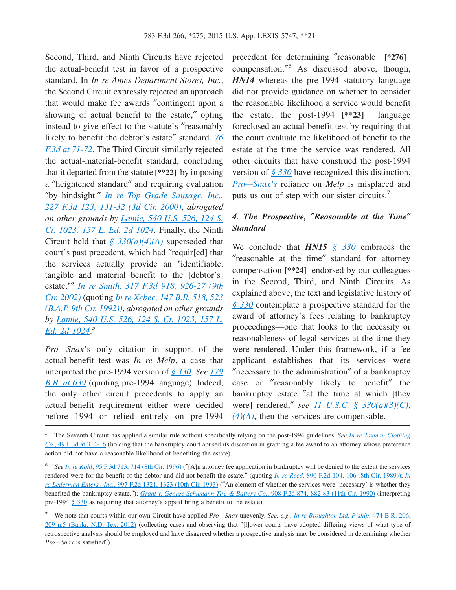Second, Third, and Ninth Circuits have rejected the actual-benefit test in favor of a prospective standard. In *In re Ames Department Stores, Inc.*, the Second Circuit expressly rejected an approach that would make fee awards ″contingent upon a showing of actual benefit to the estate,″ opting instead to give effect to the statute's ″reasonably likely to benefit the debtor's estate″ standard. *[76](http://advance.lexis.com/api/document?collection=cases&id=urn:contentItem:3S4X-4MP0-006F-M4B2-00000-00&context=1000516) [F.3d at 71-72](http://advance.lexis.com/api/document?collection=cases&id=urn:contentItem:3S4X-4MP0-006F-M4B2-00000-00&context=1000516)*. The Third Circuit similarly rejected the actual-material-benefit standard, concluding that it departed from the statute **[\*\*22]** by imposing a ″heightened standard″ and requiring evaluation ″by hindsight.″ *[In re Top Grade Sausage, Inc.,](http://advance.lexis.com/api/document?collection=cases&id=urn:contentItem:4164-JFN0-0038-X0KM-00000-00&context=1000516) [227 F.3d 123, 131-32 \(3d Cir. 2000\)](http://advance.lexis.com/api/document?collection=cases&id=urn:contentItem:4164-JFN0-0038-X0KM-00000-00&context=1000516)*, *abrogated on other grounds by [Lamie, 540 U.S. 526, 124 S.](http://advance.lexis.com/api/document?collection=cases&id=urn:contentItem:4BJD-D5C0-004B-Y02X-00000-00&context=1000516) [Ct. 1023, 157 L. Ed. 2d 1024](http://advance.lexis.com/api/document?collection=cases&id=urn:contentItem:4BJD-D5C0-004B-Y02X-00000-00&context=1000516)*. Finally, the Ninth Circuit held that *[§ 330\(a\)\(4\)\(A\)](http://advance.lexis.com/api/document?collection=statutes-legislation&id=urn:contentItem:4YF7-GTG1-NRF4-429D-00000-00&context=1000516)* superseded that court's past precedent, which had ″requir[ed] that the services actually provide an 'identifiable, tangible and material benefit to the [debtor's] estate.'″ *[In re Smith, 317 F.3d 918, 926-27 \(9th](http://advance.lexis.com/api/document?collection=cases&id=urn:contentItem:46V6-NPD0-0038-X0CR-00000-00&context=1000516) [Cir. 2002\)](http://advance.lexis.com/api/document?collection=cases&id=urn:contentItem:46V6-NPD0-0038-X0CR-00000-00&context=1000516)* (quoting *[In re Xebec, 147 B.R. 518, 523](http://advance.lexis.com/api/document?collection=cases&id=urn:contentItem:3S4V-RMY0-003B-X32F-00000-00&context=1000516) [\(B.A.P. 9th Cir. 1992\)\)](http://advance.lexis.com/api/document?collection=cases&id=urn:contentItem:3S4V-RMY0-003B-X32F-00000-00&context=1000516)*, *abrogated on other grounds by [Lamie, 540 U.S. 526, 124 S. Ct. 1023, 157 L.](http://advance.lexis.com/api/document?collection=cases&id=urn:contentItem:4BJD-D5C0-004B-Y02X-00000-00&context=1000516) [Ed. 2d 1024](http://advance.lexis.com/api/document?collection=cases&id=urn:contentItem:4BJD-D5C0-004B-Y02X-00000-00&context=1000516)*. 5

*Pro—Snax*'s only citation in support of the actual-benefit test was *In re Melp*, a case that interpreted the pre-1994 version of *[§ 330](http://advance.lexis.com/api/document?collection=statutes-legislation&id=urn:contentItem:4YF7-GTG1-NRF4-429D-00000-00&context=1000516)*. *See [179](http://advance.lexis.com/api/document?collection=cases&id=urn:contentItem:3S4N-RJP0-001T-5546-00000-00&context=1000516) [B.R. at 639](http://advance.lexis.com/api/document?collection=cases&id=urn:contentItem:3S4N-RJP0-001T-5546-00000-00&context=1000516)* (quoting pre-1994 language). Indeed, the only other circuit precedents to apply an actual-benefit requirement either were decided before 1994 or relied entirely on pre-1994

precedent for determining ″reasonable **[\*276]** compensation.″ <sup>6</sup> As discussed above, though, *HN14* whereas the pre-1994 statutory language did not provide guidance on whether to consider the reasonable likelihood a service would benefit the estate, the post-1994 **[\*\*23]** language foreclosed an actual-benefit test by requiring that the court evaluate the likelihood of benefit to the estate at the time the service was rendered. All other circuits that have construed the post-1994 version of *[§ 330](http://advance.lexis.com/api/document?collection=statutes-legislation&id=urn:contentItem:4YF7-GTG1-NRF4-429D-00000-00&context=1000516)* have recognized this distinction. *[Pro—Snax's](http://advance.lexis.com/api/document?collection=cases&id=urn:contentItem:3TXS-P5Y0-0038-X06C-00000-00&context=1000516)* reliance on *Melp* is misplaced and puts us out of step with our sister circuits.<sup>7</sup>

## *4. The Prospective,* ″*Reasonable at the Time*″ *Standard*

We conclude that *HN15 [§ 330](http://advance.lexis.com/api/document?collection=statutes-legislation&id=urn:contentItem:4YF7-GTG1-NRF4-429D-00000-00&context=1000516)* embraces the ″reasonable at the time″ standard for attorney compensation **[\*\*24]** endorsed by our colleagues in the Second, Third, and Ninth Circuits. As explained above, the text and legislative history of *[§ 330](http://advance.lexis.com/api/document?collection=statutes-legislation&id=urn:contentItem:4YF7-GTG1-NRF4-429D-00000-00&context=1000516)* contemplate a prospective standard for the award of attorney's fees relating to bankruptcy proceedings—one that looks to the necessity or reasonableness of legal services at the time they were rendered. Under this framework, if a fee applicant establishes that its services were ″necessary to the administration″ of a bankruptcy case or ″reasonably likely to benefit″ the bankruptcy estate ″at the time at which [they were] rendered,″ *see [11 U.S.C. § 330\(a\)\(3\)\(C\)](http://advance.lexis.com/api/document?collection=statutes-legislation&id=urn:contentItem:4YF7-GTG1-NRF4-429D-00000-00&context=1000516)*, *[\(4\)\(A\)](http://advance.lexis.com/api/document?collection=statutes-legislation&id=urn:contentItem:4YF7-GTG1-NRF4-429D-00000-00&context=1000516)*, then the services are compensable.

<sup>5</sup> The Seventh Circuit has applied a similar rule without specifically relying on the post-1994 guidelines. *See [In re Taxman Clothing](http://advance.lexis.com/api/document?collection=cases&id=urn:contentItem:3S4X-GM60-001T-D3WB-00000-00&context=1000516) Co.*[, 49 F.3d at 314-16](http://advance.lexis.com/api/document?collection=cases&id=urn:contentItem:3S4X-GM60-001T-D3WB-00000-00&context=1000516) (holding that the bankruptcy court abused its discretion in granting a fee award to an attorney whose preference action did not have a reasonable likelihood of benefiting the estate).

<sup>&</sup>lt;sup>6</sup> See <u>In re Kohl[, 95 F.3d 713, 714 \(8th Cir. 1996\)](http://advance.lexis.com/api/document?collection=cases&id=urn:contentItem:3S4X-10T0-006F-M1K0-00000-00&context=1000516)</u> ("[A]n attorney fee application in bankruptcy will be denied to the extent the services rendered were for the benefit of the debtor and did not benefit the estate.″ (quoting *In re Reed*[, 890 F.2d 104, 106 \(8th Cir. 1989\)\);](http://advance.lexis.com/api/document?collection=cases&id=urn:contentItem:3S4X-8F30-003B-51J4-00000-00&context=1000516) *[In](http://advance.lexis.com/api/document?collection=cases&id=urn:contentItem:3S4X-FH40-003B-P24C-00000-00&context=1000516) re Lederman Enters., Inc.*[, 997 F.2d 1321, 1323 \(10th Cir. 1993\)](http://advance.lexis.com/api/document?collection=cases&id=urn:contentItem:3S4X-FH40-003B-P24C-00000-00&context=1000516) (″An element of whether the services were 'necessary' is whether they benefited the bankruptcy estate.″); *[Grant v. George Schumann Tire & Battery Co.](http://advance.lexis.com/api/document?collection=cases&id=urn:contentItem:3S4X-3B70-003B-53MX-00000-00&context=1000516)*, 908 F.2d 874, 882-83 (11th Cir. 1990) (interpreting pre-1994 [§ 330](http://advance.lexis.com/api/document?collection=statutes-legislation&id=urn:contentItem:4YF7-GTG1-NRF4-429D-00000-00&context=1000516) as requiring that attorney's appeal bring a benefit to the estate).

<sup>7</sup> We note that courts within our own Circuit have applied *Pro—Snax* unevenly. *See, e.g., [In re Broughton Ltd. P'ship](http://advance.lexis.com/api/document?collection=cases&id=urn:contentItem:55GW-X9K1-F04B-9016-00000-00&context=1000516)*, 474 B.R. 206, [209 n.5 \(Bankr. N.D. Tex. 2012\)](http://advance.lexis.com/api/document?collection=cases&id=urn:contentItem:55GW-X9K1-F04B-9016-00000-00&context=1000516) (collecting cases and observing that ″[l]ower courts have adopted differing views of what type of retrospective analysis should be employed and have disagreed whether a prospective analysis may be considered in determining whether *Pro—Snax* is satisfied″).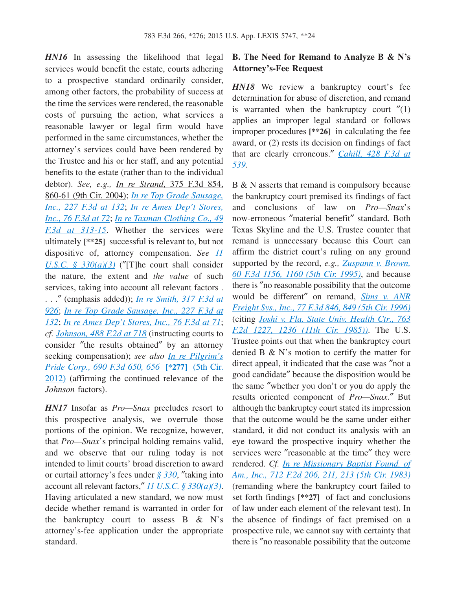*HN16* In assessing the likelihood that legal services would benefit the estate, courts adhering to a prospective standard ordinarily consider, among other factors, the probability of success at the time the services were rendered, the reasonable costs of pursuing the action, what services a reasonable lawyer or legal firm would have performed in the same circumstances, whether the attorney's services could have been rendered by the Trustee and his or her staff, and any potential benefits to the estate (rather than to the individual debtor). *See, e.g., In re Strand*, 375 F.3d 854, 860-61 (9th Cir. 2004); *[In re Top Grade Sausage,](http://advance.lexis.com/api/document?collection=cases&id=urn:contentItem:4164-JFN0-0038-X0KM-00000-00&context=1000516) [Inc., 227 F.3d at 132](http://advance.lexis.com/api/document?collection=cases&id=urn:contentItem:4164-JFN0-0038-X0KM-00000-00&context=1000516)*; *[In re Ames Dep't Stores,](http://advance.lexis.com/api/document?collection=cases&id=urn:contentItem:3S4X-4MP0-006F-M4B2-00000-00&context=1000516) [Inc., 76 F.3d at 72](http://advance.lexis.com/api/document?collection=cases&id=urn:contentItem:3S4X-4MP0-006F-M4B2-00000-00&context=1000516)*; *[In re Taxman Clothing Co., 49](http://advance.lexis.com/api/document?collection=cases&id=urn:contentItem:3S4X-GM60-001T-D3WB-00000-00&context=1000516) [F.3d at 313-15](http://advance.lexis.com/api/document?collection=cases&id=urn:contentItem:3S4X-GM60-001T-D3WB-00000-00&context=1000516)*. Whether the services were ultimately **[\*\*25]** successful is relevant to, but not dispositive of, attorney compensation. *See [11](http://advance.lexis.com/api/document?collection=statutes-legislation&id=urn:contentItem:4YF7-GTG1-NRF4-429D-00000-00&context=1000516) [U.S.C. § 330\(a\)\(3\)](http://advance.lexis.com/api/document?collection=statutes-legislation&id=urn:contentItem:4YF7-GTG1-NRF4-429D-00000-00&context=1000516)* (″[T]he court shall consider the nature, the extent and *the value* of such services, taking into account all relevant factors . . . .″ (emphasis added)); *[In re Smith, 317 F.3d at](http://advance.lexis.com/api/document?collection=cases&id=urn:contentItem:46V6-NPD0-0038-X0CR-00000-00&context=1000516) [926](http://advance.lexis.com/api/document?collection=cases&id=urn:contentItem:46V6-NPD0-0038-X0CR-00000-00&context=1000516)*; *[In re Top Grade Sausage, Inc., 227 F.3d at](http://advance.lexis.com/api/document?collection=cases&id=urn:contentItem:4164-JFN0-0038-X0KM-00000-00&context=1000516) [132](http://advance.lexis.com/api/document?collection=cases&id=urn:contentItem:4164-JFN0-0038-X0KM-00000-00&context=1000516)*; *[In re Ames Dep't Stores, Inc., 76 F.3d at 71](http://advance.lexis.com/api/document?collection=cases&id=urn:contentItem:3S4X-4MP0-006F-M4B2-00000-00&context=1000516)*; *cf. [Johnson, 488 F.2d at 718](http://advance.lexis.com/api/document?collection=cases&id=urn:contentItem:3S4W-YB70-0039-X1VF-00000-00&context=1000516)* (instructing courts to consider ″the results obtained″ by an attorney seeking compensation); *see also [In re Pilgrim's](http://advance.lexis.com/api/document?collection=cases&id=urn:contentItem:569J-K4H1-F04K-N0KB-00000-00&context=1000516) [Pride Corp., 690 F.3d 650, 656](http://advance.lexis.com/api/document?collection=cases&id=urn:contentItem:569J-K4H1-F04K-N0KB-00000-00&context=1000516)* **[\*277]** (5th Cir. [2012\)](http://advance.lexis.com/api/document?collection=cases&id=urn:contentItem:569J-K4H1-F04K-N0KB-00000-00&context=1000516) (affirming the continued relevance of the *Johnson* factors).

*HN17* Insofar as *Pro—Snax* precludes resort to this prospective analysis, we overrule those portions of the opinion. We recognize, however, that *Pro—Snax*'s principal holding remains valid, and we observe that our ruling today is not intended to limit courts' broad discretion to award or curtail attorney's fees under *[§ 330](http://advance.lexis.com/api/document?collection=statutes-legislation&id=urn:contentItem:4YF7-GTG1-NRF4-429D-00000-00&context=1000516)*, ″taking into account all relevant factors,″ *[11 U.S.C. § 330\(a\)\(3\)](http://advance.lexis.com/api/document?collection=statutes-legislation&id=urn:contentItem:4YF7-GTG1-NRF4-429D-00000-00&context=1000516)*. Having articulated a new standard, we now must decide whether remand is warranted in order for the bankruptcy court to assess B & N's attorney's-fee application under the appropriate standard.

### **B. The Need for Remand to Analyze B & N's Attorney's-Fee Request**

*HN18* We review a bankruptcy court's fee determination for abuse of discretion, and remand is warranted when the bankruptcy court  $''(1)$ applies an improper legal standard or follows improper procedures **[\*\*26]** in calculating the fee award, or (2) rests its decision on findings of fact that are clearly erroneous.″ *[Cahill, 428 F.3d at](http://advance.lexis.com/api/document?collection=cases&id=urn:contentItem:4H9S-8XC0-0038-X0NX-00000-00&context=1000516) [539](http://advance.lexis.com/api/document?collection=cases&id=urn:contentItem:4H9S-8XC0-0038-X0NX-00000-00&context=1000516)*.

B & N asserts that remand is compulsory because the bankruptcy court premised its findings of fact and conclusions of law on *Pro—Snax*'s now-erroneous ″material benefit″ standard. Both Texas Skyline and the U.S. Trustee counter that remand is unnecessary because this Court can affirm the district court's ruling on any ground supported by the record, *e.g., [Zuspann v. Brown,](http://advance.lexis.com/api/document?collection=cases&id=urn:contentItem:3RVK-8KY0-001T-D0FF-00000-00&context=1000516) [60 F.3d 1156, 1160 \(5th Cir. 1995\)](http://advance.lexis.com/api/document?collection=cases&id=urn:contentItem:3RVK-8KY0-001T-D0FF-00000-00&context=1000516)*, and because there is ″no reasonable possibility that the outcome would be different″ on remand, *[Sims v. ANR](http://advance.lexis.com/api/document?collection=cases&id=urn:contentItem:3S4X-3340-006F-M4BH-00000-00&context=1000516) [Freight Sys., Inc., 77 F.3d 846, 849 \(5th Cir. 1996\)](http://advance.lexis.com/api/document?collection=cases&id=urn:contentItem:3S4X-3340-006F-M4BH-00000-00&context=1000516)* (citing *[Joshi v. Fla. State Univ. Health Ctr., 763](http://advance.lexis.com/api/document?collection=cases&id=urn:contentItem:3S4X-GXH0-0039-P42V-00000-00&context=1000516) [F.2d 1227, 1236 \(11th Cir. 1985\)\)](http://advance.lexis.com/api/document?collection=cases&id=urn:contentItem:3S4X-GXH0-0039-P42V-00000-00&context=1000516)*. The U.S. Trustee points out that when the bankruptcy court denied B & N's motion to certify the matter for direct appeal, it indicated that the case was ″not a good candidate″ because the disposition would be the same ″whether you don't or you do apply the results oriented component of *Pro—Snax*.″ But although the bankruptcy court stated its impression that the outcome would be the same under either standard, it did not conduct its analysis with an eye toward the prospective inquiry whether the services were ″reasonable at the time″ they were rendered. *Cf. [In re Missionary Baptist Found. of](http://advance.lexis.com/api/document?collection=cases&id=urn:contentItem:3S4W-YP70-003B-G0GB-00000-00&context=1000516) [Am., Inc., 712 F.2d 206, 211, 213 \(5th Cir. 1983\)](http://advance.lexis.com/api/document?collection=cases&id=urn:contentItem:3S4W-YP70-003B-G0GB-00000-00&context=1000516)* (remanding where the bankruptcy court failed to set forth findings **[\*\*27]** of fact and conclusions of law under each element of the relevant test). In the absence of findings of fact premised on a prospective rule, we cannot say with certainty that there is ″no reasonable possibility that the outcome